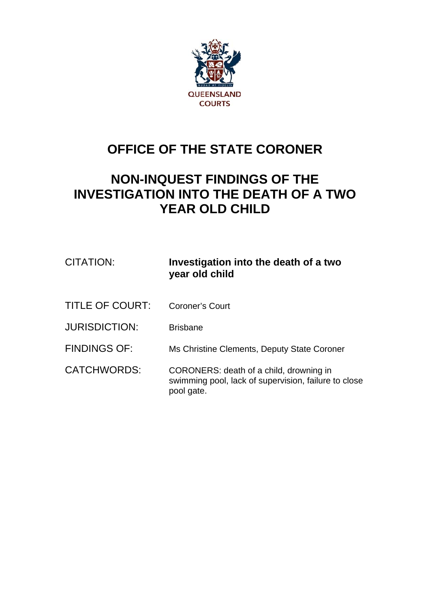

## **OFFICE OF THE STATE CORONER**

## **NON-INQUEST FINDINGS OF THE INVESTIGATION INTO THE DEATH OF A TWO YEAR OLD CHILD**

| CITATION:            | Investigation into the death of a two<br>year old child                                                       |
|----------------------|---------------------------------------------------------------------------------------------------------------|
| TITLE OF COURT:      | Coroner's Court                                                                                               |
| <b>JURISDICTION:</b> | <b>Brisbane</b>                                                                                               |
| <b>FINDINGS OF:</b>  | Ms Christine Clements, Deputy State Coroner                                                                   |
| <b>CATCHWORDS:</b>   | CORONERS: death of a child, drowning in<br>swimming pool, lack of supervision, failure to close<br>pool gate. |